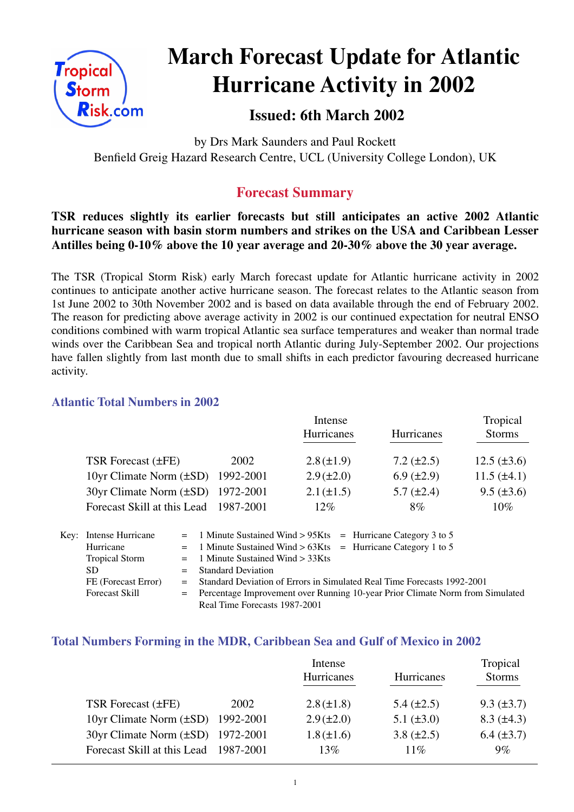

# **March Forecast Update for Atlantic Hurricane Activity in 2002**

## **Issued: 6th March 2002**

by Drs Mark Saunders and Paul Rockett Benfield Greig Hazard Research Centre, UCL (University College London), UK

### **Forecast Summary**

#### **TSR reduces slightly its earlier forecasts but still anticipates an active 2002 Atlantic hurricane season with basin storm numbers and strikes on the USA and Caribbean Lesser Antilles being 0-10% above the 10 year average and 20-30% above the 30 year average.**

The TSR (Tropical Storm Risk) early March forecast update for Atlantic hurricane activity in 2002 continues to anticipate another active hurricane season. The forecast relates to the Atlantic season from 1st June 2002 to 30th November 2002 and is based on data available through the end of February 2002. The reason for predicting above average activity in 2002 is our continued expectation for neutral ENSO conditions combined with warm tropical Atlantic sea surface temperatures and weaker than normal trade winds over the Caribbean Sea and tropical north Atlantic during July-September 2002. Our projections have fallen slightly from last month due to small shifts in each predictor favouring decreased hurricane activity.

#### **Atlantic Total Numbers in 2002**

|                                        |           | Intense           |                   | Tropical         |  |
|----------------------------------------|-----------|-------------------|-------------------|------------------|--|
|                                        |           | <b>Hurricanes</b> | Hurricanes        | <b>Storms</b>    |  |
| TSR Forecast $(\pm FE)$                | 2002      | $2.8 (\pm 1.9)$   | $7.2 (\pm 2.5)$   | $12.5 (\pm 3.6)$ |  |
| 10yr Climate Norm $(\pm SD)$ 1992-2001 |           | $2.9 (\pm 2.0)$   | $6.9 \ (\pm 2.9)$ | $11.5 (\pm 4.1)$ |  |
| 30yr Climate Norm (±SD) 1972-2001      |           | $2.1 (\pm 1.5)$   | $5.7 \ (\pm 2.4)$ | $9.5 (\pm 3.6)$  |  |
| Forecast Skill at this Lead            | 1987-2001 | $12\%$            | 8%                | $10\%$           |  |

| Key: Intense Hurricane | $=$ 1 Minute Sustained Wind > 95Kts $=$ Hurricane Category 3 to 5               |  |  |
|------------------------|---------------------------------------------------------------------------------|--|--|
| Hurricane              | $=$ 1 Minute Sustained Wind > 63Kts = Hurricane Category 1 to 5                 |  |  |
| <b>Tropical Storm</b>  | $=$ 1 Minute Sustained Wind $>$ 33Kts                                           |  |  |
| SD.                    | $=$ Standard Deviation                                                          |  |  |
| FE (Forecast Error)    | = Standard Deviation of Errors in Simulated Real Time Forecasts 1992-2001       |  |  |
| <b>Forecast Skill</b>  | = Percentage Improvement over Running 10-year Prior Climate Norm from Simulated |  |  |
|                        | Real Time Forecasts 1987-2001                                                   |  |  |

#### **Total Numbers Forming in the MDR, Caribbean Sea and Gulf of Mexico in 2002**

|                                        |      | Intense         |                   | Tropical          |
|----------------------------------------|------|-----------------|-------------------|-------------------|
|                                        |      | Hurricanes      | Hurricanes        | <b>Storms</b>     |
|                                        |      |                 |                   |                   |
| <b>TSR Forecast (±FE)</b>              | 2002 | $2.8 (\pm 1.8)$ | $5.4 \ (\pm 2.5)$ | $9.3 (\pm 3.7)$   |
| 10yr Climate Norm $(\pm SD)$ 1992-2001 |      | $2.9 (\pm 2.0)$ | $5.1 (\pm 3.0)$   | $8.3 \ (\pm 4.3)$ |
| 30yr Climate Norm (±SD) 1972-2001      |      | $1.8 (\pm 1.6)$ | $3.8 (\pm 2.5)$   | $6.4 (\pm 3.7)$   |
| Forecast Skill at this Lead 1987-2001  |      | 13%             | $11\%$            | $9\%$             |
|                                        |      |                 |                   |                   |